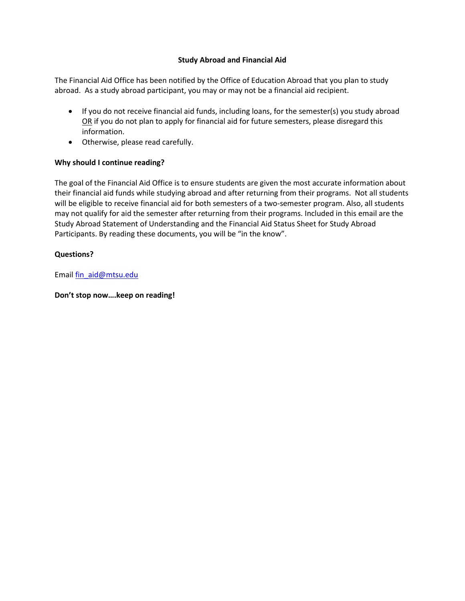### **Study Abroad and Financial Aid**

The Financial Aid Office has been notified by the Office of Education Abroad that you plan to study abroad. As a study abroad participant, you may or may not be a financial aid recipient.

- If you do not receive financial aid funds, including loans, for the semester(s) you study abroad OR if you do not plan to apply for financial aid for future semesters, please disregard this information.
- Otherwise, please read carefully.

### **Why should I continue reading?**

The goal of the Financial Aid Office is to ensure students are given the most accurate information about their financial aid funds while studying abroad and after returning from their programs. Not all students will be eligible to receive financial aid for both semesters of a two-semester program. Also, all students may not qualify for aid the semester after returning from their programs. Included in this email are the Study Abroad Statement of Understanding and the Financial Aid Status Sheet for Study Abroad Participants. By reading these documents, you will be "in the know".

### **Questions?**

Email [fin\\_aid@mtsu.edu](mailto:fin_aid@mtsu.edu)

**Don't stop now….keep on reading!**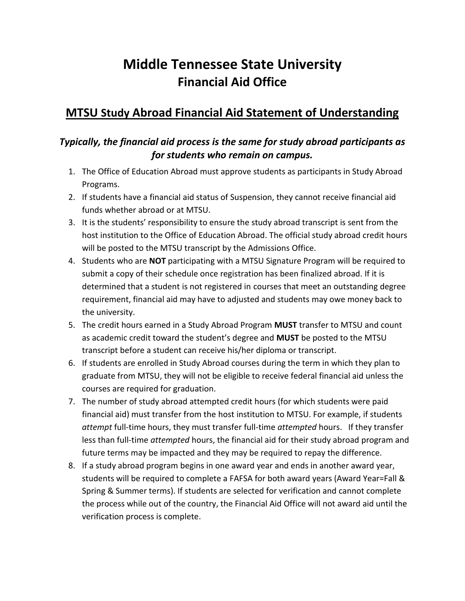# **Middle Tennessee State University Financial Aid Office**

## **MTSU Study Abroad Financial Aid Statement of Understanding**

## *Typically, the financial aid process is the same for study abroad participants as for students who remain on campus.*

- 1. The Office of Education Abroad must approve students as participants in Study Abroad Programs.
- 2. If students have a financial aid status of Suspension, they cannot receive financial aid funds whether abroad or at MTSU.
- 3. It is the students' responsibility to ensure the study abroad transcript is sent from the host institution to the Office of Education Abroad. The official study abroad credit hours will be posted to the MTSU transcript by the Admissions Office.
- 4. Students who are **NOT** participating with a MTSU Signature Program will be required to submit a copy of their schedule once registration has been finalized abroad. If it is determined that a student is not registered in courses that meet an outstanding degree requirement, financial aid may have to adjusted and students may owe money back to the university.
- 5. The credit hours earned in a Study Abroad Program **MUST** transfer to MTSU and count as academic credit toward the student's degree and **MUST** be posted to the MTSU transcript before a student can receive his/her diploma or transcript.
- 6. If students are enrolled in Study Abroad courses during the term in which they plan to graduate from MTSU, they will not be eligible to receive federal financial aid unless the courses are required for graduation.
- 7. The number of study abroad attempted credit hours (for which students were paid financial aid) must transfer from the host institution to MTSU. For example, if students *attempt* full-time hours, they must transfer full-time *attempted* hours. If they transfer less than full-time *attempted* hours, the financial aid for their study abroad program and future terms may be impacted and they may be required to repay the difference.
- 8. If a study abroad program begins in one award year and ends in another award year, students will be required to complete a FAFSA for both award years (Award Year=Fall & Spring & Summer terms). If students are selected for verification and cannot complete the process while out of the country, the Financial Aid Office will not award aid until the verification process is complete.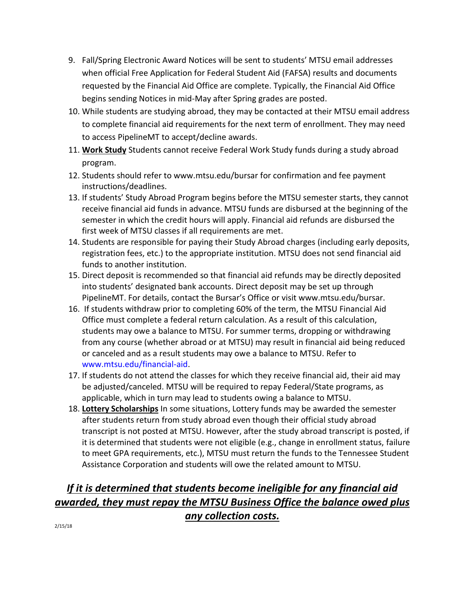- 9. Fall/Spring Electronic Award Notices will be sent to students' MTSU email addresses when official Free Application for Federal Student Aid (FAFSA) results and documents requested by the Financial Aid Office are complete. Typically, the Financial Aid Office begins sending Notices in mid-May after Spring grades are posted.
- 10. While students are studying abroad, they may be contacted at their MTSU email address to complete financial aid requirements for the next term of enrollment. They may need to access PipelineMT to accept/decline awards.
- 11. **Work Study** Students cannot receive Federal Work Study funds during a study abroad program.
- 12. Students should refer to www.mtsu.edu/bursar for confirmation and fee payment instructions/deadlines.
- 13. If students' Study Abroad Program begins before the MTSU semester starts, they cannot receive financial aid funds in advance. MTSU funds are disbursed at the beginning of the semester in which the credit hours will apply. Financial aid refunds are disbursed the first week of MTSU classes if all requirements are met.
- 14. Students are responsible for paying their Study Abroad charges (including early deposits, registration fees, etc.) to the appropriate institution. MTSU does not send financial aid funds to another institution.
- 15. Direct deposit is recommended so that financial aid refunds may be directly deposited into students' designated bank accounts. Direct deposit may be set up through PipelineMT. For details, contact the Bursar's Office or visit www.mtsu.edu/bursar.
- 16. If students withdraw prior to completing 60% of the term, the MTSU Financial Aid Office must complete a federal return calculation. As a result of this calculation, students may owe a balance to MTSU. For summer terms, dropping or withdrawing from any course (whether abroad or at MTSU) may result in financial aid being reduced or canceled and as a result students may owe a balance to MTSU. Refer to [www.mtsu.edu/financial-aid.](http://www.mtsu.edu/financial-aid)
- 17. If students do not attend the classes for which they receive financial aid, their aid may be adjusted/canceled. MTSU will be required to repay Federal/State programs, as applicable, which in turn may lead to students owing a balance to MTSU.
- 18. **Lottery Scholarships** In some situations, Lottery funds may be awarded the semester after students return from study abroad even though their official study abroad transcript is not posted at MTSU. However, after the study abroad transcript is posted, if it is determined that students were not eligible (e.g., change in enrollment status, failure to meet GPA requirements, etc.), MTSU must return the funds to the Tennessee Student Assistance Corporation and students will owe the related amount to MTSU.

## *If it is determined that students become ineligible for any financial aid awarded, they must repay the MTSU Business Office the balance owed plus any collection costs.*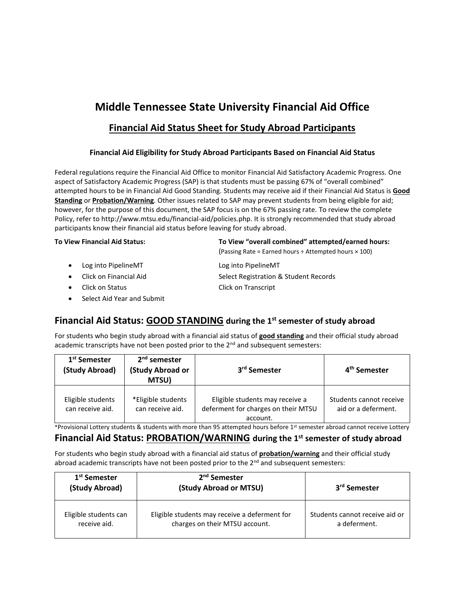## **Middle Tennessee State University Financial Aid Office**

### **Financial Aid Status Sheet for Study Abroad Participants**

### **Financial Aid Eligibility for Study Abroad Participants Based on Financial Aid Status**

Federal regulations require the Financial Aid Office to monitor Financial Aid Satisfactory Academic Progress. One aspect of Satisfactory Academic Progress (SAP) is that students must be passing 67% of "overall combined" attempted hours to be in Financial Aid Good Standing. Students may receive aid if their Financial Aid Status is **Good Standing** or **Probation/Warning**. Other issues related to SAP may prevent students from being eligible for aid; however, for the purpose of this document, the SAP focus is on the 67% passing rate. To review the complete Policy, refer to http://www.mtsu.edu/financial-aid/policies.php. It is strongly recommended that study abroad participants know their financial aid status before leaving for study abroad.

#### **To View Financial Aid Status: To View "overall combined" attempted/earned hours:**

- (Passing Rate = Earned hours ÷ Attempted hours × 100)
- Log into PipelineMT Log into PipelineMT
- 
- Click on Status Click on Transcript
- Select Aid Year and Submit

• Click on Financial Aid Select Registration & Student Records

### **Financial Aid Status: GOOD STANDING during the 1st semester of study abroad**

For students who begin study abroad with a financial aid status of **good standing** and their official study abroad academic transcripts have not been posted prior to the 2<sup>nd</sup> and subsequent semesters:

| 1 <sup>st</sup> Semester<br>(Study Abroad) | $2nd$ semester<br>(Study Abroad or<br>MTSU) | 3 <sup>rd</sup> Semester                                                           | 4 <sup>th</sup> Semester                       |
|--------------------------------------------|---------------------------------------------|------------------------------------------------------------------------------------|------------------------------------------------|
| Eligible students<br>can receive aid.      | *Eligible students<br>can receive aid.      | Eligible students may receive a<br>deferment for charges on their MTSU<br>account. | Students cannot receive<br>aid or a deferment. |

\*Provisional Lottery students & students with more than 95 attempted hours before 1 st semester abroad cannot receive Lottery

### **Financial Aid Status: PROBATION/WARNING during the 1st semester of study abroad**

For students who begin study abroad with a financial aid status of **probation/warning** and their official study abroad academic transcripts have not been posted prior to the  $2<sup>nd</sup>$  and subsequent semesters:

| 1 <sup>st</sup> Semester<br>(Study Abroad) | 2 <sup>nd</sup> Semester<br>(Study Abroad or MTSU) | 3 <sup>rd</sup> Semester       |
|--------------------------------------------|----------------------------------------------------|--------------------------------|
| Eligible students can                      | Eligible students may receive a deferment for      | Students cannot receive aid or |
| receive aid.                               | charges on their MTSU account.                     | a deferment.                   |